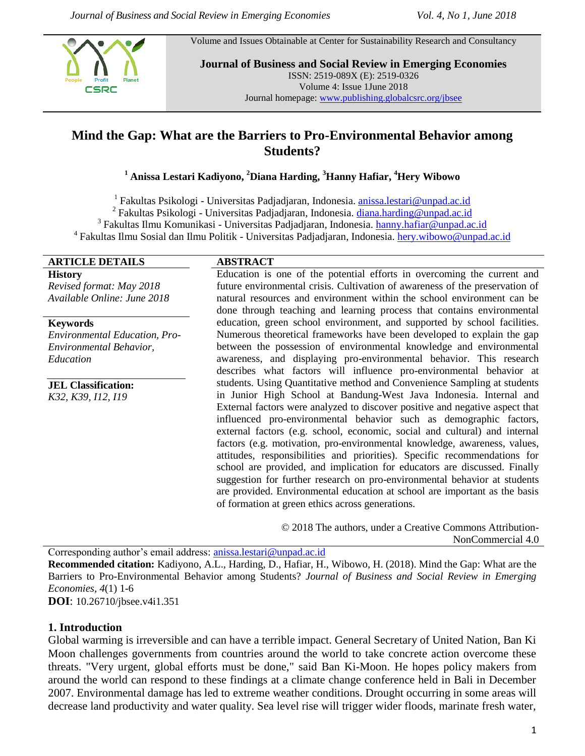**CSRC** 

Volume and Issues Obtainable at Center for Sustainability Research and Consultancy

**Journal of Business and Social Review in Emerging Economies** ISSN: 2519-089X (E): 2519-0326 Volume 4: Issue 1June 2018 Journal homepage[: www.publishing.globalcsrc.org/jbsee](http://www.publishing.globalcsrc.org/jbsee)

# **Mind the Gap: What are the Barriers to Pro-Environmental Behavior among Students?**

# **<sup>1</sup> Anissa Lestari Kadiyono, <sup>2</sup>Diana Harding, <sup>3</sup>Hanny Hafiar, <sup>4</sup>Hery Wibowo**

<sup>1</sup> Fakultas Psikologi - Universitas Padjadjaran, Indonesia. **[anissa.lestari@unpad.ac.id](mailto:anissa.lestari@unpad.ac.id)** 

<sup>2</sup> Fakultas Psikologi - Universitas Padjadjaran, Indonesia. [diana.harding@unpad.ac.id](mailto:diana.harding@unpad.ac.id)

<sup>3</sup> Fakultas Ilmu Komunikasi - Universitas Padjadjaran, Indonesia. [hanny.hafiar@unpad.ac.id](mailto:hanny.hafiar@unpad.ac.id)

<sup>4</sup> Fakultas Ilmu Sosial dan Ilmu Politik - Universitas Padjadjaran, Indonesia. [hery.wibowo@unpad.ac.id](mailto:hery.wibowo@unpad.ac.id)

#### **ARTICLE DETAILS ABSTRACT**

**History** *Revised format: May 2018 Available Online: June 2018*

**Keywords**

*Environmental Education, Pro-Environmental Behavior, Education*

**JEL Classification:** *K32, K39, I12, I19*

Education is one of the potential efforts in overcoming the current and future environmental crisis. Cultivation of awareness of the preservation of natural resources and environment within the school environment can be done through teaching and learning process that contains environmental education, green school environment, and supported by school facilities. Numerous theoretical frameworks have been developed to explain the gap between the possession of environmental knowledge and environmental awareness, and displaying pro-environmental behavior. This research describes what factors will influence pro-environmental behavior at students. Using Quantitative method and Convenience Sampling at students in Junior High School at Bandung-West Java Indonesia. Internal and External factors were analyzed to discover positive and negative aspect that influenced pro-environmental behavior such as demographic factors, external factors (e.g. school, economic, social and cultural) and internal factors (e.g. motivation, pro-environmental knowledge, awareness, values, attitudes, responsibilities and priorities). Specific recommendations for school are provided, and implication for educators are discussed. Finally suggestion for further research on pro-environmental behavior at students are provided. Environmental education at school are important as the basis of formation at green ethics across generations.

> © 2018 The authors, under a Creative Commons Attribution-NonCommercial 4.0

Corresponding author's email address: [anissa.lestari@unpad.ac.id](mailto:anissa.lestari@unpad.ac.id) **Recommended citation:** Kadiyono, A.L., Harding, D., Hafiar, H., Wibowo, H. (2018). Mind the Gap: What are the Barriers to Pro-Environmental Behavior among Students? *Journal of Business and Social Review in Emerging Economies, 4*(1) 1-6 **DOI**: 10.26710/jbsee.v4i1.351

#### **1. Introduction**

Global warming is irreversible and can have a terrible impact. General Secretary of United Nation, Ban Ki Moon challenges governments from countries around the world to take concrete action overcome these threats. "Very urgent, global efforts must be done," said Ban Ki-Moon. He hopes policy makers from around the world can respond to these findings at a climate change conference held in Bali in December 2007. Environmental damage has led to extreme weather conditions. Drought occurring in some areas will decrease land productivity and water quality. Sea level rise will trigger wider floods, marinate fresh water,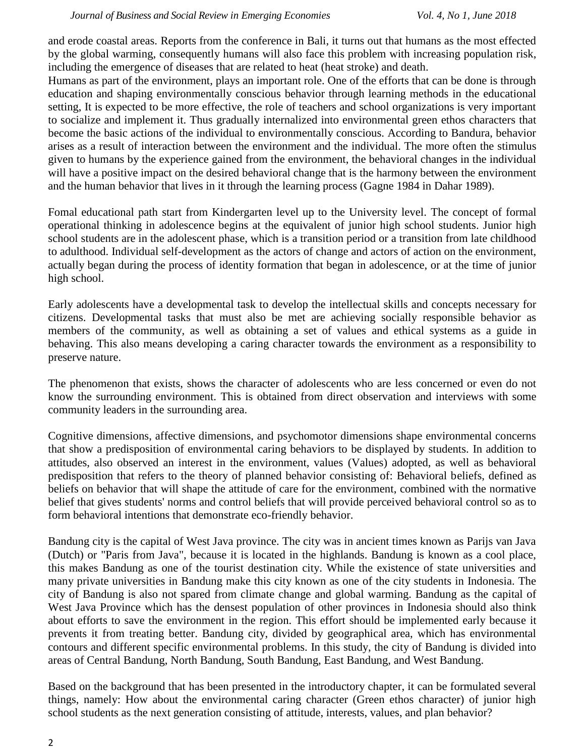and erode coastal areas. Reports from the conference in Bali, it turns out that humans as the most effected by the global warming, consequently humans will also face this problem with increasing population risk, including the emergence of diseases that are related to heat (heat stroke) and death.

Humans as part of the environment, plays an important role. One of the efforts that can be done is through education and shaping environmentally conscious behavior through learning methods in the educational setting, It is expected to be more effective, the role of teachers and school organizations is very important to socialize and implement it. Thus gradually internalized into environmental green ethos characters that become the basic actions of the individual to environmentally conscious. According to Bandura, behavior arises as a result of interaction between the environment and the individual. The more often the stimulus given to humans by the experience gained from the environment, the behavioral changes in the individual will have a positive impact on the desired behavioral change that is the harmony between the environment and the human behavior that lives in it through the learning process (Gagne 1984 in Dahar 1989).

Fomal educational path start from Kindergarten level up to the University level. The concept of formal operational thinking in adolescence begins at the equivalent of junior high school students. Junior high school students are in the adolescent phase, which is a transition period or a transition from late childhood to adulthood. Individual self-development as the actors of change and actors of action on the environment, actually began during the process of identity formation that began in adolescence, or at the time of junior high school.

Early adolescents have a developmental task to develop the intellectual skills and concepts necessary for citizens. Developmental tasks that must also be met are achieving socially responsible behavior as members of the community, as well as obtaining a set of values and ethical systems as a guide in behaving. This also means developing a caring character towards the environment as a responsibility to preserve nature.

The phenomenon that exists, shows the character of adolescents who are less concerned or even do not know the surrounding environment. This is obtained from direct observation and interviews with some community leaders in the surrounding area.

Cognitive dimensions, affective dimensions, and psychomotor dimensions shape environmental concerns that show a predisposition of environmental caring behaviors to be displayed by students. In addition to attitudes, also observed an interest in the environment, values (Values) adopted, as well as behavioral predisposition that refers to the theory of planned behavior consisting of: Behavioral beliefs, defined as beliefs on behavior that will shape the attitude of care for the environment, combined with the normative belief that gives students' norms and control beliefs that will provide perceived behavioral control so as to form behavioral intentions that demonstrate eco-friendly behavior.

Bandung city is the capital of West Java province. The city was in ancient times known as Parijs van Java (Dutch) or "Paris from Java", because it is located in the highlands. Bandung is known as a cool place, this makes Bandung as one of the tourist destination city. While the existence of state universities and many private universities in Bandung make this city known as one of the city students in Indonesia. The city of Bandung is also not spared from climate change and global warming. Bandung as the capital of West Java Province which has the densest population of other provinces in Indonesia should also think about efforts to save the environment in the region. This effort should be implemented early because it prevents it from treating better. Bandung city, divided by geographical area, which has environmental contours and different specific environmental problems. In this study, the city of Bandung is divided into areas of Central Bandung, North Bandung, South Bandung, East Bandung, and West Bandung.

Based on the background that has been presented in the introductory chapter, it can be formulated several things, namely: How about the environmental caring character (Green ethos character) of junior high school students as the next generation consisting of attitude, interests, values, and plan behavior?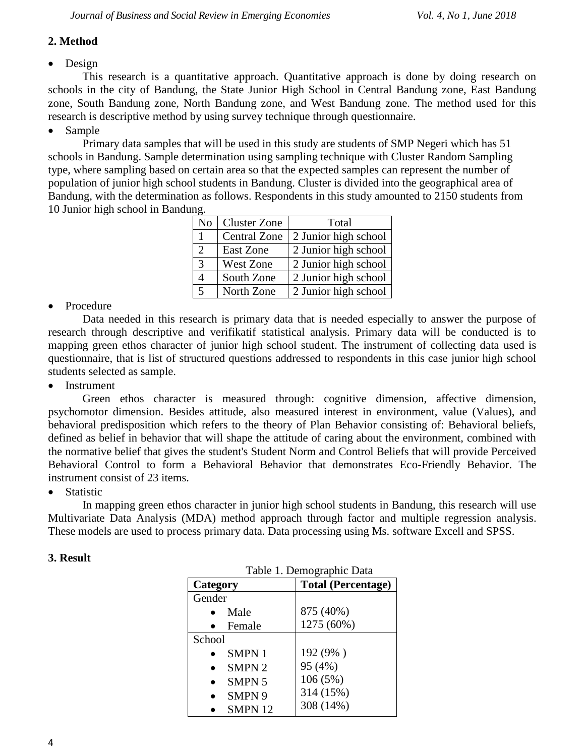# **2. Method**

# • Design

This research is a quantitative approach. Quantitative approach is done by doing research on schools in the city of Bandung, the State Junior High School in Central Bandung zone, East Bandung zone, South Bandung zone, North Bandung zone, and West Bandung zone. The method used for this research is descriptive method by using survey technique through questionnaire.

# • Sample

Primary data samples that will be used in this study are students of SMP Negeri which has 51 schools in Bandung. Sample determination using sampling technique with Cluster Random Sampling type, where sampling based on certain area so that the expected samples can represent the number of population of junior high school students in Bandung. Cluster is divided into the geographical area of Bandung, with the determination as follows. Respondents in this study amounted to 2150 students from 10 Junior high school in Bandung.

| N <sub>o</sub> | <b>Cluster Zone</b> | Total                |
|----------------|---------------------|----------------------|
|                | <b>Central Zone</b> | 2 Junior high school |
| 2              | East Zone           | 2 Junior high school |
| 3              | <b>West Zone</b>    | 2 Junior high school |
|                | South Zone          | 2 Junior high school |
| 5              | North Zone          | 2 Junior high school |

# • Procedure

Data needed in this research is primary data that is needed especially to answer the purpose of research through descriptive and verifikatif statistical analysis. Primary data will be conducted is to mapping green ethos character of junior high school student. The instrument of collecting data used is questionnaire, that is list of structured questions addressed to respondents in this case junior high school students selected as sample.

• Instrument

Green ethos character is measured through: cognitive dimension, affective dimension, psychomotor dimension. Besides attitude, also measured interest in environment, value (Values), and behavioral predisposition which refers to the theory of Plan Behavior consisting of: Behavioral beliefs, defined as belief in behavior that will shape the attitude of caring about the environment, combined with the normative belief that gives the student's Student Norm and Control Beliefs that will provide Perceived Behavioral Control to form a Behavioral Behavior that demonstrates Eco-Friendly Behavior. The instrument consist of 23 items.

**•** Statistic

In mapping green ethos character in junior high school students in Bandung, this research will use Multivariate Data Analysis (MDA) method approach through factor and multiple regression analysis. These models are used to process primary data. Data processing using Ms. software Excell and SPSS.

#### **3. Result**

| Tavit 1. Dennegraphic Data |                           |  |  |
|----------------------------|---------------------------|--|--|
| Category                   | <b>Total (Percentage)</b> |  |  |
| Gender                     |                           |  |  |
| Male                       | 875 (40%)                 |  |  |
| Female                     | 1275 (60%)                |  |  |
| School                     |                           |  |  |
| <b>SMPN1</b>               | 192 (9%)                  |  |  |
| SMPN <sub>2</sub>          | 95 (4%)                   |  |  |
| <b>SMPN 5</b>              | 106 (5%)                  |  |  |
| SMPN 9                     | 314 (15%)                 |  |  |
| <b>SMPN 12</b>             | 308 (14%)                 |  |  |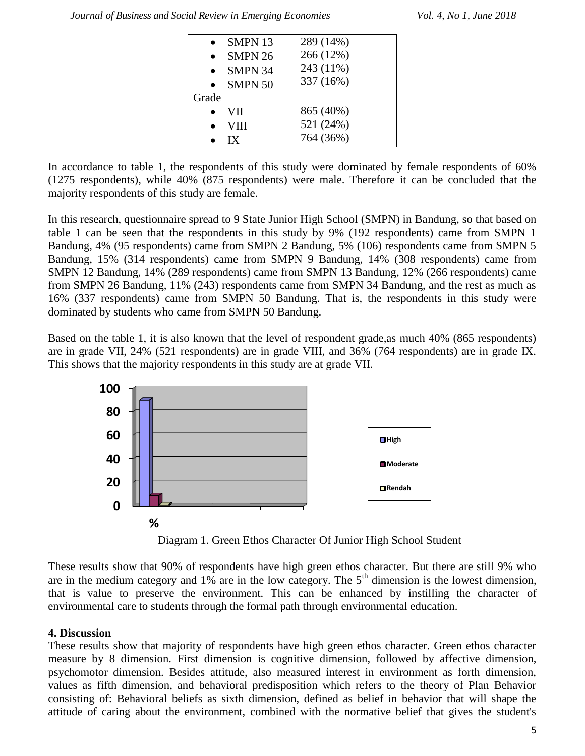| SMPN <sub>13</sub> | 289 (14%)              |
|--------------------|------------------------|
| SMPN 26            | 266 (12%)              |
| SMPN 34            | 243 (11%)              |
| <b>SMPN 50</b>     | 337 (16%)              |
|                    |                        |
| Grade              |                        |
| VII                | 865 (40%)              |
| VIII               | 521 (24%)<br>764 (36%) |

In accordance to table 1, the respondents of this study were dominated by female respondents of 60% (1275 respondents), while 40% (875 respondents) were male. Therefore it can be concluded that the majority respondents of this study are female.

In this research, questionnaire spread to 9 State Junior High School (SMPN) in Bandung, so that based on table 1 can be seen that the respondents in this study by 9% (192 respondents) came from SMPN 1 Bandung, 4% (95 respondents) came from SMPN 2 Bandung, 5% (106) respondents came from SMPN 5 Bandung, 15% (314 respondents) came from SMPN 9 Bandung, 14% (308 respondents) came from SMPN 12 Bandung, 14% (289 respondents) came from SMPN 13 Bandung, 12% (266 respondents) came from SMPN 26 Bandung, 11% (243) respondents came from SMPN 34 Bandung, and the rest as much as 16% (337 respondents) came from SMPN 50 Bandung. That is, the respondents in this study were dominated by students who came from SMPN 50 Bandung.

Based on the table 1, it is also known that the level of respondent grade,as much 40% (865 respondents) are in grade VII, 24% (521 respondents) are in grade VIII, and 36% (764 respondents) are in grade IX. This shows that the majority respondents in this study are at grade VII.



Diagram 1. Green Ethos Character Of Junior High School Student

These results show that 90% of respondents have high green ethos character. But there are still 9% who are in the medium category and  $1\%$  are in the low category. The  $5<sup>th</sup>$  dimension is the lowest dimension, that is value to preserve the environment. This can be enhanced by instilling the character of environmental care to students through the formal path through environmental education.

# **4. Discussion**

These results show that majority of respondents have high green ethos character. Green ethos character measure by 8 dimension. First dimension is cognitive dimension, followed by affective dimension, psychomotor dimension. Besides attitude, also measured interest in environment as forth dimension, values as fifth dimension, and behavioral predisposition which refers to the theory of Plan Behavior consisting of: Behavioral beliefs as sixth dimension, defined as belief in behavior that will shape the attitude of caring about the environment, combined with the normative belief that gives the student's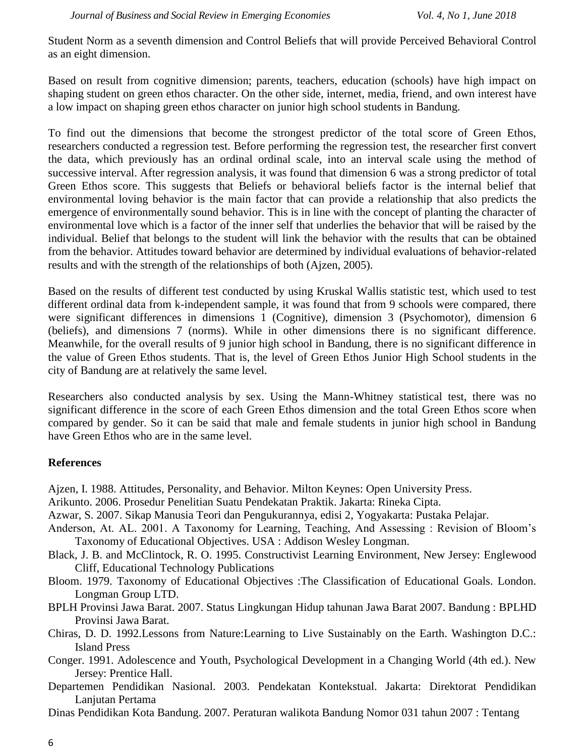Student Norm as a seventh dimension and Control Beliefs that will provide Perceived Behavioral Control as an eight dimension.

Based on result from cognitive dimension; parents, teachers, education (schools) have high impact on shaping student on green ethos character. On the other side, internet, media, friend, and own interest have a low impact on shaping green ethos character on junior high school students in Bandung.

To find out the dimensions that become the strongest predictor of the total score of Green Ethos, researchers conducted a regression test. Before performing the regression test, the researcher first convert the data, which previously has an ordinal ordinal scale, into an interval scale using the method of successive interval. After regression analysis, it was found that dimension 6 was a strong predictor of total Green Ethos score. This suggests that Beliefs or behavioral beliefs factor is the internal belief that environmental loving behavior is the main factor that can provide a relationship that also predicts the emergence of environmentally sound behavior. This is in line with the concept of planting the character of environmental love which is a factor of the inner self that underlies the behavior that will be raised by the individual. Belief that belongs to the student will link the behavior with the results that can be obtained from the behavior. Attitudes toward behavior are determined by individual evaluations of behavior-related results and with the strength of the relationships of both (Ajzen, 2005).

Based on the results of different test conducted by using Kruskal Wallis statistic test, which used to test different ordinal data from k-independent sample, it was found that from 9 schools were compared, there were significant differences in dimensions 1 (Cognitive), dimension 3 (Psychomotor), dimension 6 (beliefs), and dimensions 7 (norms). While in other dimensions there is no significant difference. Meanwhile, for the overall results of 9 junior high school in Bandung, there is no significant difference in the value of Green Ethos students. That is, the level of Green Ethos Junior High School students in the city of Bandung are at relatively the same level.

Researchers also conducted analysis by sex. Using the Mann-Whitney statistical test, there was no significant difference in the score of each Green Ethos dimension and the total Green Ethos score when compared by gender. So it can be said that male and female students in junior high school in Bandung have Green Ethos who are in the same level.

#### **References**

- Ajzen, I. 1988. Attitudes, Personality, and Behavior. Milton Keynes: Open University Press.
- Arikunto. 2006. Prosedur Penelitian Suatu Pendekatan Praktik. Jakarta: Rineka Cipta.
- Azwar, S. 2007. Sikap Manusia Teori dan Pengukurannya, edisi 2, Yogyakarta: Pustaka Pelajar.
- Anderson, At. AL. 2001. A Taxonomy for Learning, Teaching, And Assessing : Revision of Bloom's Taxonomy of Educational Objectives. USA : Addison Wesley Longman.
- Black, J. B. and McClintock, R. O. 1995. Constructivist Learning Environment, New Jersey: Englewood Cliff, Educational Technology Publications
- Bloom. 1979. Taxonomy of Educational Objectives :The Classification of Educational Goals. London. Longman Group LTD.
- BPLH Provinsi Jawa Barat. 2007. Status Lingkungan Hidup tahunan Jawa Barat 2007. Bandung : BPLHD Provinsi Jawa Barat.
- Chiras, D. D. 1992.Lessons from Nature:Learning to Live Sustainably on the Earth. Washington D.C.: Island Press
- Conger. 1991. Adolescence and Youth, Psychological Development in a Changing World (4th ed.). New Jersey: Prentice Hall.
- Departemen Pendidikan Nasional. 2003. Pendekatan Kontekstual. Jakarta: Direktorat Pendidikan Lanjutan Pertama
- Dinas Pendidikan Kota Bandung. 2007. Peraturan walikota Bandung Nomor 031 tahun 2007 : Tentang